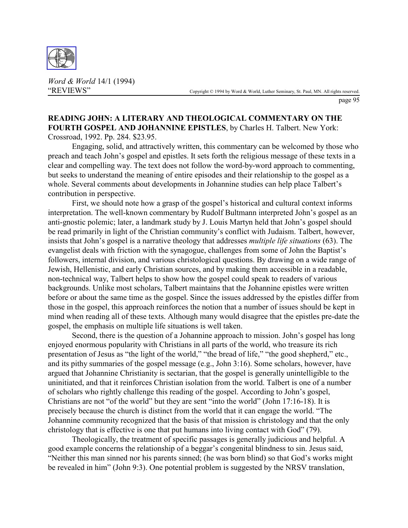

*Word & World* 14/1 (1994)

page 95

## **READING JOHN: A LITERARY AND THEOLOGICAL COMMENTARY ON THE FOURTH GOSPEL AND JOHANNINE EPISTLES**, by Charles H. Talbert. New York: Crossroad, 1992. Pp. 284. \$23.95.

Engaging, solid, and attractively written, this commentary can be welcomed by those who preach and teach John's gospel and epistles. It sets forth the religious message of these texts in a clear and compelling way. The text does not follow the word-by-word approach to commenting, but seeks to understand the meaning of entire episodes and their relationship to the gospel as a whole. Several comments about developments in Johannine studies can help place Talbert's contribution in perspective.

First, we should note how a grasp of the gospel's historical and cultural context informs interpretation. The well-known commentary by Rudolf Bultmann interpreted John's gospel as an anti-gnostic polemic; later, a landmark study by J. Louis Martyn held that John's gospel should be read primarily in light of the Christian community's conflict with Judaism. Talbert, however, insists that John's gospel is a narrative theology that addresses *multiple life situations* (63). The evangelist deals with friction with the synagogue, challenges from some of John the Baptist's followers, internal division, and various christological questions. By drawing on a wide range of Jewish, Hellenistic, and early Christian sources, and by making them accessible in a readable, non-technical way, Talbert helps to show how the gospel could speak to readers of various backgrounds. Unlike most scholars, Talbert maintains that the Johannine epistles were written before or about the same time as the gospel. Since the issues addressed by the epistles differ from those in the gospel, this approach reinforces the notion that a number of issues should be kept in mind when reading all of these texts. Although many would disagree that the epistles pre-date the gospel, the emphasis on multiple life situations is well taken.

Second, there is the question of a Johannine approach to mission. John's gospel has long enjoyed enormous popularity with Christians in all parts of the world, who treasure its rich presentation of Jesus as "the light of the world," "the bread of life," "the good shepherd," etc., and its pithy summaries of the gospel message (e.g., John 3:16). Some scholars, however, have argued that Johannine Christianity is sectarian, that the gospel is generally unintelligible to the uninitiated, and that it reinforces Christian isolation from the world. Talbert is one of a number of scholars who rightly challenge this reading of the gospel. According to John's gospel, Christians are not "of the world" but they are sent "into the world" (John 17:16-18). It is precisely because the church is distinct from the world that it can engage the world. "The Johannine community recognized that the basis of that mission is christology and that the only christology that is effective is one that put humans into living contact with God" (79).

Theologically, the treatment of specific passages is generally judicious and helpful. A good example concerns the relationship of a beggar's congenital blindness to sin. Jesus said, "Neither this man sinned nor his parents sinned; (he was born blind) so that God's works might be revealed in him" (John 9:3). One potential problem is suggested by the NRSV translation,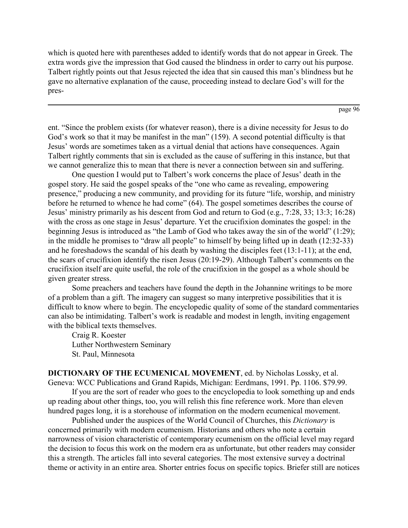which is quoted here with parentheses added to identify words that do not appear in Greek. The extra words give the impression that God caused the blindness in order to carry out his purpose. Talbert rightly points out that Jesus rejected the idea that sin caused this man's blindness but he gave no alternative explanation of the cause, proceeding instead to declare God's will for the pres-

page 96

ent. "Since the problem exists (for whatever reason), there is a divine necessity for Jesus to do God's work so that it may be manifest in the man" (159). A second potential difficulty is that Jesus' words are sometimes taken as a virtual denial that actions have consequences. Again Talbert rightly comments that sin is excluded as the cause of suffering in this instance, but that we cannot generalize this to mean that there is never a connection between sin and suffering.

One question I would put to Talbert's work concerns the place of Jesus' death in the gospel story. He said the gospel speaks of the "one who came as revealing, empowering presence," producing a new community, and providing for its future "life, worship, and ministry before he returned to whence he had come" (64). The gospel sometimes describes the course of Jesus' ministry primarily as his descent from God and return to God (e.g., 7:28, 33; 13:3; 16:28) with the cross as one stage in Jesus' departure. Yet the crucifixion dominates the gospel: in the beginning Jesus is introduced as "the Lamb of God who takes away the sin of the world" (1:29); in the middle he promises to "draw all people" to himself by being lifted up in death (12:32-33) and he foreshadows the scandal of his death by washing the disciples feet (13:1-11); at the end, the scars of crucifixion identify the risen Jesus (20:19-29). Although Talbert's comments on the crucifixion itself are quite useful, the role of the crucifixion in the gospel as a whole should be given greater stress.

Some preachers and teachers have found the depth in the Johannine writings to be more of a problem than a gift. The imagery can suggest so many interpretive possibilities that it is difficult to know where to begin. The encyclopedic quality of some of the standard commentaries can also be intimidating. Talbert's work is readable and modest in length, inviting engagement with the biblical texts themselves.

Craig R. Koester Luther Northwestern Seminary St. Paul, Minnesota

**DICTIONARY OF THE ECUMENICAL MOVEMENT**, ed. by Nicholas Lossky, et al. Geneva: WCC Publications and Grand Rapids, Michigan: Eerdmans, 1991. Pp. 1106. \$79.99.

If you are the sort of reader who goes to the encyclopedia to look something up and ends up reading about other things, too, you will relish this fine reference work. More than eleven hundred pages long, it is a storehouse of information on the modern ecumenical movement.

Published under the auspices of the World Council of Churches, this *Dictionary* is concerned primarily with modern ecumenism. Historians and others who note a certain narrowness of vision characteristic of contemporary ecumenism on the official level may regard the decision to focus this work on the modern era as unfortunate, but other readers may consider this a strength. The articles fall into several categories. The most extensive survey a doctrinal theme or activity in an entire area. Shorter entries focus on specific topics. Briefer still are notices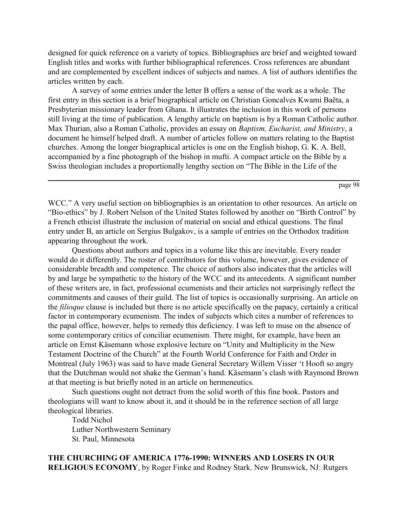designed for quick reference on a variety of topics. Bibliographies are brief and weighted toward English titles and works with further bibliographical references. Cross references are abundant and are complemented by excellent indices of subjects and names. A list of authors identifies the articles written by each.

A survey of some entries under the letter B offers a sense of the work as a whole. The first entry in this section is a brief biographical article on Christian Goncalves Kwami Baëta, a Presbyterian missionary leader from Ghana. It illustrates the inclusion in this work of persons still living at the time of publication. A lengthy article on baptism is by a Roman Catholic author. Max Thurian, also a Roman Catholic, provides an essay on *Baptism, Eucharist, and Ministry*, a document he himself helped draft. A number of articles follow on matters relating to the Baptist churches. Among the longer biographical articles is one on the English bishop, G. K. A. Bell, accompanied by a fine photograph of the bishop in mufti. A compact article on the Bible by a Swiss theologian includes a proportionally lengthy section on "The Bible in the Life of the

page 98

WCC." A very useful section on bibliographies is an orientation to other resources. An article on "Bio-ethics" by J. Robert Nelson of the United States followed by another on "Birth Control" by a French ethicist illustrate the inclusion of material on social and ethical questions. The final entry under B, an article on Sergius Bulgakov, is a sample of entries on the Orthodox tradition appearing throughout the work.

Questions about authors and topics in a volume like this are inevitable. Every reader would do it differently. The roster of contributors for this volume, however, gives evidence of considerable breadth and competence. The choice of authors also indicates that the articles will by and large be sympathetic to the history of the WCC and its antecedents. A significant number of these writers are, in fact, professional ecumenists and their articles not surprisingly reflect the commitments and causes of their guild. The list of topics is occasionally surprising. An article on the *filioque* clause is included but there is no article specifically on the papacy, certainly a critical factor in contemporary ecumenism. The index of subjects which cites a number of references to the papal office, however, helps to remedy this deficiency. I was left to muse on the absence of some contemporary critics of conciliar ecumenism. There might, for example, have been an article on Ernst Käsemann whose explosive lecture on "Unity and Multiplicity in the New Testament Doctrine of the Church" at the Fourth World Conference for Faith and Order in Montreal (July 1963) was said to have made General Secretary Willem Visser 't Hooft so angry that the Dutchman would not shake the German's hand. Käsemann's clash with Raymond Brown at that meeting is but briefly noted in an article on hermeneutics.

Such questions ought not detract from the solid worth of this fine book. Pastors and theologians will want to know about it, and it should be in the reference section of all large theological libraries.

Todd Nichol Luther Northwestern Seminary St. Paul, Minnesota

## **THE CHURCHING OF AMERICA 1776-1990: WINNERS AND LOSERS IN OUR RELIGIOUS ECONOMY**, by Roger Finke and Rodney Stark. New Brunswick, NJ: Rutgers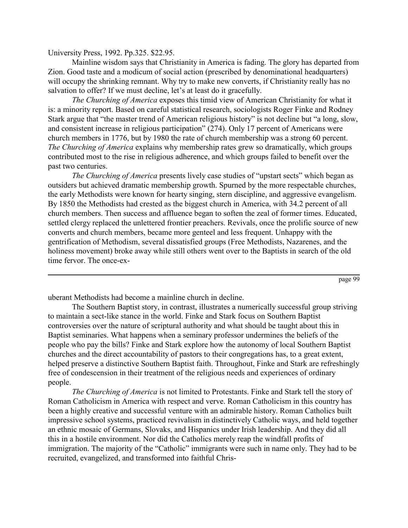University Press, 1992. Pp.325. \$22.95.

Mainline wisdom says that Christianity in America is fading. The glory has departed from Zion. Good taste and a modicum of social action (prescribed by denominational headquarters) will occupy the shrinking remnant. Why try to make new converts, if Christianity really has no salvation to offer? If we must decline, let's at least do it gracefully.

*The Churching of America* exposes this timid view of American Christianity for what it is: a minority report. Based on careful statistical research, sociologists Roger Finke and Rodney Stark argue that "the master trend of American religious history" is not decline but "a long, slow, and consistent increase in religious participation" (274). Only 17 percent of Americans were church members in 1776, but by 1980 the rate of church membership was a strong 60 percent. *The Churching of America* explains why membership rates grew so dramatically, which groups contributed most to the rise in religious adherence, and which groups failed to benefit over the past two centuries.

*The Churching of America* presents lively case studies of "upstart sects" which began as outsiders but achieved dramatic membership growth. Spurned by the more respectable churches, the early Methodists were known for hearty singing, stern discipline, and aggressive evangelism. By 1850 the Methodists had crested as the biggest church in America, with 34.2 percent of all church members. Then success and affluence began to soften the zeal of former times. Educated, settled clergy replaced the unlettered frontier preachers. Revivals, once the prolific source of new converts and church members, became more genteel and less frequent. Unhappy with the gentrification of Methodism, several dissatisfied groups (Free Methodists, Nazarenes, and the holiness movement) broke away while still others went over to the Baptists in search of the old time fervor. The once-ex-

page 99

uberant Methodists had become a mainline church in decline.

The Southern Baptist story, in contrast, illustrates a numerically successful group striving to maintain a sect-like stance in the world. Finke and Stark focus on Southern Baptist controversies over the nature of scriptural authority and what should be taught about this in Baptist seminaries. What happens when a seminary professor undermines the beliefs of the people who pay the bills? Finke and Stark explore how the autonomy of local Southern Baptist churches and the direct accountability of pastors to their congregations has, to a great extent, helped preserve a distinctive Southern Baptist faith. Throughout, Finke and Stark are refreshingly free of condescension in their treatment of the religious needs and experiences of ordinary people.

*The Churching of America* is not limited to Protestants. Finke and Stark tell the story of Roman Catholicism in America with respect and verve. Roman Catholicism in this country has been a highly creative and successful venture with an admirable history. Roman Catholics built impressive school systems, practiced revivalism in distinctively Catholic ways, and held together an ethnic mosaic of Germans, Slovaks, and Hispanics under Irish leadership. And they did all this in a hostile environment. Nor did the Catholics merely reap the windfall profits of immigration. The majority of the "Catholic" immigrants were such in name only. They had to be recruited, evangelized, and transformed into faithful Chris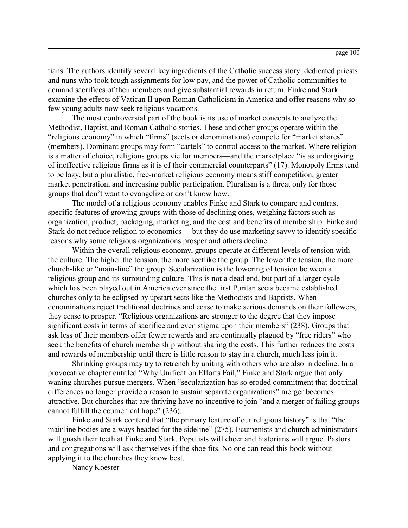tians. The authors identify several key ingredients of the Catholic success story: dedicated priests and nuns who took tough assignments for low pay, and the power of Catholic communities to demand sacrifices of their members and give substantial rewards in return. Finke and Stark examine the effects of Vatican II upon Roman Catholicism in America and offer reasons why so few young adults now seek religious vocations.

The most controversial part of the book is its use of market concepts to analyze the Methodist, Baptist, and Roman Catholic stories. These and other groups operate within the "religious economy" in which "firms" (sects or denominations) compete for "market shares" (members). Dominant groups may form "cartels" to control access to the market. Where religion is a matter of choice, religious groups vie for members—and the marketplace "is as unforgiving of ineffective religious firms as it is of their commercial counterparts" (17). Monopoly firms tend to be lazy, but a pluralistic, free-market religious economy means stiff competition, greater market penetration, and increasing public participation. Pluralism is a threat only for those groups that don't want to evangelize or don't know how.

The model of a religious economy enables Finke and Stark to compare and contrast specific features of growing groups with those of declining ones, weighing factors such as organization, product, packaging, marketing, and the cost and benefits of membership. Finke and Stark do not reduce religion to economics—-but they do use marketing savvy to identify specific reasons why some religious organizations prosper and others decline.

Within the overall religious economy, groups operate at different levels of tension with the culture. The higher the tension, the more sectlike the group. The lower the tension, the more church-like or "main-line" the group. Secularization is the lowering of tension between a religious group and its surrounding culture. This is not a dead end, but part of a larger cycle which has been played out in America ever since the first Puritan sects became established churches only to be eclipsed by upstart sects like the Methodists and Baptists. When denominations reject traditional doctrines and cease to make serious demands on their followers, they cease to prosper. "Religious organizations are stronger to the degree that they impose significant costs in terms of sacrifice and even stigma upon their members" (238). Groups that ask less of their members offer fewer rewards and are continually plagued by "free riders" who seek the benefits of church membership without sharing the costs. This further reduces the costs and rewards of membership until there is little reason to stay in a church, much less join it.

Shrinking groups may try to retrench by uniting with others who are also in decline. In a provocative chapter entitled "Why Unification Efforts Fail," Finke and Stark argue that only waning churches pursue mergers. When "secularization has so eroded commitment that doctrinal differences no longer provide a reason to sustain separate organizations" merger becomes attractive. But churches that are thriving have no incentive to join "and a merger of failing groups cannot fulfill the ecumenical hope" (236).

Finke and Stark contend that "the primary feature of our religious history" is that "the mainline bodies are always headed for the sideline" (275). Ecumenists and church administrators will gnash their teeth at Finke and Stark. Populists will cheer and historians will argue. Pastors and congregations will ask themselves if the shoe fits. No one can read this book without applying it to the churches they know best.

Nancy Koester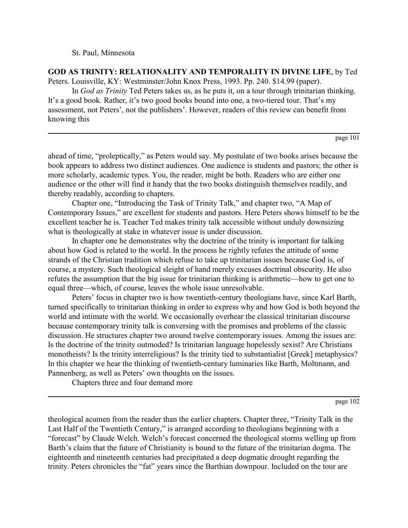St. Paul, Minnesota

**GOD AS TRINITY: RELATIONALITY AND TEMPORALITY IN DIVINE LIFE**, by Ted Peters. Louisville, KY: Westminster/John Knox Press, 1993. Pp. 240. \$14.99 (paper).

In *God as Trinity* Ted Peters takes us, as he puts it, on a tour through trinitarian thinking. It's a good book. Rather, it's two good books bound into one, a two-tiered tour. That's my assessment, not Peters', not the publishers'. However, readers of this review can benefit from knowing this

```
page 101
```
ahead of time, "proleptically," as Peters would say. My postulate of two books arises because the book appears to address two distinct audiences. One audience is students and pastors; the other is more scholarly, academic types. You, the reader, might be both. Readers who are either one audience or the other will find it handy that the two books distinguish themselves readily, and thereby readably, according to chapters.

Chapter one, "Introducing the Task of Trinity Talk," and chapter two, "A Map of Contemporary Issues," are excellent for students and pastors. Here Peters shows himself to be the excellent teacher he is. Teacher Ted makes trinity talk accessible without unduly downsizing what is theologically at stake in whatever issue is under discussion.

In chapter one he demonstrates why the doctrine of the trinity is important for talking about how God is related to the world. In the process he rightly refutes the attitude of some strands of the Christian tradition which refuse to take up trinitarian issues because God is, of course, a mystery. Such theological sleight of hand merely excuses doctrinal obscurity. He also refutes the assumption that the big issue for trinitarian thinking is arithmetic—how to get one to equal three—which, of course, leaves the whole issue unresolvable.

Peters' focus in chapter two is how twentieth-century theologians have, since Karl Barth, turned specifically to trinitarian thinking in order to express why and how God is both beyond the world and intimate with the world. We occasionally overhear the classical trinitarian discourse because contemporary trinity talk is conversing with the promises and problems of the classic discussion. He structures chapter two around twelve contemporary issues. Among the issues are: Is the doctrine of the trinity outmoded? Is trinitarian language hopelessly sexist? Are Christians monotheists? Is the trinity interreligious? Is the trinity tied to substantialist [Greek] metaphysics? In this chapter we hear the thinking of twentieth-century luminaries like Barth, Moltmann, and Pannenberg, as well as Peters' own thoughts on the issues.

Chapters three and four demand more

page 102

theological acumen from the reader than the earlier chapters. Chapter three, "Trinity Talk in the Last Half of the Twentieth Century," is arranged according to theologians beginning with a "forecast" by Claude Welch. Welch's forecast concerned the theological storms welling up from Barth's claim that the future of Christianity is bound to the future of the trinitarian dogma. The eighteenth and nineteenth centuries had precipitated a deep dogmatic drought regarding the trinity. Peters chronicles the "fat" years since the Barthian downpour. Included on the tour are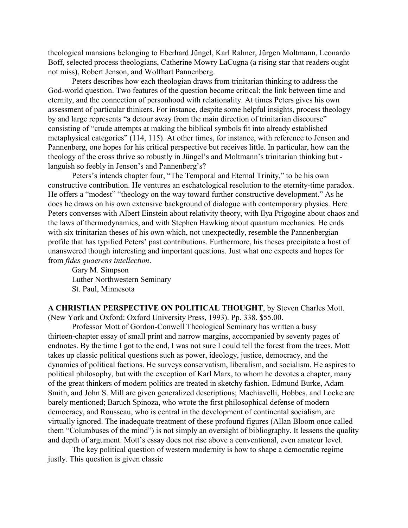theological mansions belonging to Eberhard Jüngel, Karl Rahner, Jürgen Moltmann, Leonardo Boff, selected process theologians, Catherine Mowry LaCugna (a rising star that readers ought not miss), Robert Jenson, and Wolfhart Pannenberg.

Peters describes how each theologian draws from trinitarian thinking to address the God-world question. Two features of the question become critical: the link between time and eternity, and the connection of personhood with relationality. At times Peters gives his own assessment of particular thinkers. For instance, despite some helpful insights, process theology by and large represents "a detour away from the main direction of trinitarian discourse" consisting of "crude attempts at making the biblical symbols fit into already established metaphysical categories" (114, 115). At other times, for instance, with reference to Jenson and Pannenberg, one hopes for his critical perspective but receives little. In particular, how can the theology of the cross thrive so robustly in Jüngel's and Moltmann's trinitarian thinking but languish so feebly in Jenson's and Pannenberg's?

Peters's intends chapter four, "The Temporal and Eternal Trinity," to be his own constructive contribution. He ventures an eschatological resolution to the eternity-time paradox. He offers a "modest" "theology on the way toward further constructive development." As he does he draws on his own extensive background of dialogue with contemporary physics. Here Peters converses with Albert Einstein about relativity theory, with Ilya Prigogine about chaos and the laws of thermodynamics, and with Stephen Hawking about quantum mechanics. He ends with six trinitarian theses of his own which, not unexpectedly, resemble the Pannenbergian profile that has typified Peters' past contributions. Furthermore, his theses precipitate a host of unanswered though interesting and important questions. Just what one expects and hopes for from *fides quaerens intellectum*.

Gary M. Simpson Luther Northwestern Seminary St. Paul, Minnesota

**A CHRISTIAN PERSPECTIVE ON POLITICAL THOUGHT**, by Steven Charles Mott. (New York and Oxford: Oxford University Press, 1993). Pp. 338. \$55.00.

Professor Mott of Gordon-Conwell Theological Seminary has written a busy thirteen-chapter essay of small print and narrow margins, accompanied by seventy pages of endnotes. By the time I got to the end, I was not sure I could tell the forest from the trees. Mott takes up classic political questions such as power, ideology, justice, democracy, and the dynamics of political factions. He surveys conservatism, liberalism, and socialism. He aspires to political philosophy, but with the exception of Karl Marx, to whom he devotes a chapter, many of the great thinkers of modern politics are treated in sketchy fashion. Edmund Burke, Adam Smith, and John S. Mill are given generalized descriptions; Machiavelli, Hobbes, and Locke are barely mentioned; Baruch Spinoza, who wrote the first philosophical defense of modern democracy, and Rousseau, who is central in the development of continental socialism, are virtually ignored. The inadequate treatment of these profound figures (Allan Bloom once called them "Columbuses of the mind") is not simply an oversight of bibliography. It lessens the quality and depth of argument. Mott's essay does not rise above a conventional, even amateur level.

The key political question of western modernity is how to shape a democratic regime justly. This question is given classic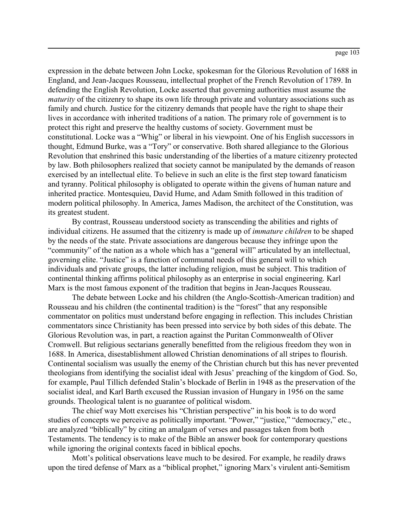expression in the debate between John Locke, spokesman for the Glorious Revolution of 1688 in England, and Jean-Jacques Rousseau, intellectual prophet of the French Revolution of 1789. In defending the English Revolution, Locke asserted that governing authorities must assume the *maturity* of the citizenry to shape its own life through private and voluntary associations such as family and church. Justice for the citizenry demands that people have the right to shape their lives in accordance with inherited traditions of a nation. The primary role of government is to protect this right and preserve the healthy customs of society. Government must be constitutional. Locke was a "Whig" or liberal in his viewpoint. One of his English successors in thought, Edmund Burke, was a "Tory" or conservative. Both shared allegiance to the Glorious Revolution that enshrined this basic understanding of the liberties of a mature citizenry protected by law. Both philosophers realized that society cannot be manipulated by the demands of reason exercised by an intellectual elite. To believe in such an elite is the first step toward fanaticism and tyranny. Political philosophy is obligated to operate within the givens of human nature and inherited practice. Montesquieu, David Hume, and Adam Smith followed in this tradition of modern political philosophy. In America, James Madison, the architect of the Constitution, was its greatest student.

By contrast, Rousseau understood society as transcending the abilities and rights of individual citizens. He assumed that the citizenry is made up of *immature children* to be shaped by the needs of the state. Private associations are dangerous because they infringe upon the "community" of the nation as a whole which has a "general will" articulated by an intellectual, governing elite. "Justice" is a function of communal needs of this general will to which individuals and private groups, the latter including religion, must be subject. This tradition of continental thinking affirms political philosophy as an enterprise in social engineering. Karl Marx is the most famous exponent of the tradition that begins in Jean-Jacques Rousseau.

The debate between Locke and his children (the Anglo-Scottish-American tradition) and Rousseau and his children (the continental tradition) is the "forest" that any responsible commentator on politics must understand before engaging in reflection. This includes Christian commentators since Christianity has been pressed into service by both sides of this debate. The Glorious Revolution was, in part, a reaction against the Puritan Commonwealth of Oliver Cromwell. But religious sectarians generally benefitted from the religious freedom they won in 1688. In America, disestablishment allowed Christian denominations of all stripes to flourish. Continental socialism was usually the enemy of the Christian church but this has never prevented theologians from identifying the socialist ideal with Jesus' preaching of the kingdom of God. So, for example, Paul Tillich defended Stalin's blockade of Berlin in 1948 as the preservation of the socialist ideal, and Karl Barth excused the Russian invasion of Hungary in 1956 on the same grounds. Theological talent is no guarantee of political wisdom.

The chief way Mott exercises his "Christian perspective" in his book is to do word studies of concepts we perceive as politically important. "Power," "justice," "democracy," etc., are analyzed "biblically" by citing an amalgam of verses and passages taken from both Testaments. The tendency is to make of the Bible an answer book for contemporary questions while ignoring the original contexts faced in biblical epochs.

Mott's political observations leave much to be desired. For example, he readily draws upon the tired defense of Marx as a "biblical prophet," ignoring Marx's virulent anti-Semitism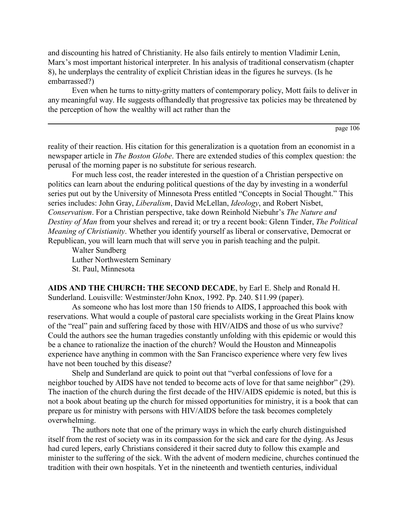and discounting his hatred of Christianity. He also fails entirely to mention Vladimir Lenin, Marx's most important historical interpreter. In his analysis of traditional conservatism (chapter 8), he underplays the centrality of explicit Christian ideas in the figures he surveys. (Is he embarrassed?)

Even when he turns to nitty-gritty matters of contemporary policy, Mott fails to deliver in any meaningful way. He suggests offhandedly that progressive tax policies may be threatened by the perception of how the wealthy will act rather than the

page 106

reality of their reaction. His citation for this generalization is a quotation from an economist in a newspaper article in *The Boston Globe*. There are extended studies of this complex question: the perusal of the morning paper is no substitute for serious research.

For much less cost, the reader interested in the question of a Christian perspective on politics can learn about the enduring political questions of the day by investing in a wonderful series put out by the University of Minnesota Press entitled "Concepts in Social Thought." This series includes: John Gray, *Liberalism*, David McLellan, *Ideology*, and Robert Nisbet, *Conservatism*. For a Christian perspective, take down Reinhold Niebuhr's *The Nature and Destiny of Man* from your shelves and reread it; or try a recent book: Glenn Tinder, *The Political Meaning of Christianity*. Whether you identify yourself as liberal or conservative, Democrat or Republican, you will learn much that will serve you in parish teaching and the pulpit.

Walter Sundberg Luther Northwestern Seminary St. Paul, Minnesota

**AIDS AND THE CHURCH: THE SECOND DECADE**, by Earl E. Shelp and Ronald H. Sunderland. Louisville: Westminster/John Knox, 1992. Pp. 240. \$11.99 (paper).

As someone who has lost more than 150 friends to AIDS, I approached this book with reservations. What would a couple of pastoral care specialists working in the Great Plains know of the "real" pain and suffering faced by those with HIV/AIDS and those of us who survive? Could the authors see the human tragedies constantly unfolding with this epidemic or would this be a chance to rationalize the inaction of the church? Would the Houston and Minneapolis experience have anything in common with the San Francisco experience where very few lives have not been touched by this disease?

Shelp and Sunderland are quick to point out that "verbal confessions of love for a neighbor touched by AIDS have not tended to become acts of love for that same neighbor" (29). The inaction of the church during the first decade of the HIV/AIDS epidemic is noted, but this is not a book about beating up the church for missed opportunities for ministry, it is a book that can prepare us for ministry with persons with HIV/AIDS before the task becomes completely overwhelming.

The authors note that one of the primary ways in which the early church distinguished itself from the rest of society was in its compassion for the sick and care for the dying. As Jesus had cured lepers, early Christians considered it their sacred duty to follow this example and minister to the suffering of the sick. With the advent of modern medicine, churches continued the tradition with their own hospitals. Yet in the nineteenth and twentieth centuries, individual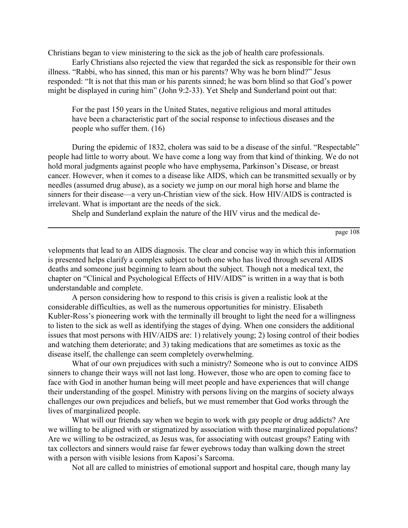Christians began to view ministering to the sick as the job of health care professionals.

Early Christians also rejected the view that regarded the sick as responsible for their own illness. "Rabbi, who has sinned, this man or his parents? Why was he born blind?" Jesus responded: "It is not that this man or his parents sinned; he was born blind so that God's power might be displayed in curing him" (John 9:2-33). Yet Shelp and Sunderland point out that:

For the past 150 years in the United States, negative religious and moral attitudes have been a characteristic part of the social response to infectious diseases and the people who suffer them. (16)

During the epidemic of 1832, cholera was said to be a disease of the sinful. "Respectable" people had little to worry about. We have come a long way from that kind of thinking. We do not hold moral judgments against people who have emphysema, Parkinson's Disease, or breast cancer. However, when it comes to a disease like AIDS, which can be transmitted sexually or by needles (assumed drug abuse), as a society we jump on our moral high horse and blame the sinners for their disease—a very un-Christian view of the sick. How HIV/AIDS is contracted is irrelevant. What is important are the needs of the sick.

Shelp and Sunderland explain the nature of the HIV virus and the medical de-

page 108

velopments that lead to an AIDS diagnosis. The clear and concise way in which this information is presented helps clarify a complex subject to both one who has lived through several AIDS deaths and someone just beginning to learn about the subject. Though not a medical text, the chapter on "Clinical and Psychological Effects of HIV/AIDS" is written in a way that is both understandable and complete.

A person considering how to respond to this crisis is given a realistic look at the considerable difficulties, as well as the numerous opportunities for ministry. Elisabeth Kubler-Ross's pioneering work with the terminally ill brought to light the need for a willingness to listen to the sick as well as identifying the stages of dying. When one considers the additional issues that most persons with HIV/AIDS are: 1) relatively young; 2) losing control of their bodies and watching them deteriorate; and 3) taking medications that are sometimes as toxic as the disease itself, the challenge can seem completely overwhelming.

What of our own prejudices with such a ministry? Someone who is out to convince AIDS sinners to change their ways will not last long. However, those who are open to coming face to face with God in another human being will meet people and have experiences that will change their understanding of the gospel. Ministry with persons living on the margins of society always challenges our own prejudices and beliefs, but we must remember that God works through the lives of marginalized people.

What will our friends say when we begin to work with gay people or drug addicts? Are we willing to be aligned with or stigmatized by association with those marginalized populations? Are we willing to be ostracized, as Jesus was, for associating with outcast groups? Eating with tax collectors and sinners would raise far fewer eyebrows today than walking down the street with a person with visible lesions from Kaposi's Sarcoma.

Not all are called to ministries of emotional support and hospital care, though many lay